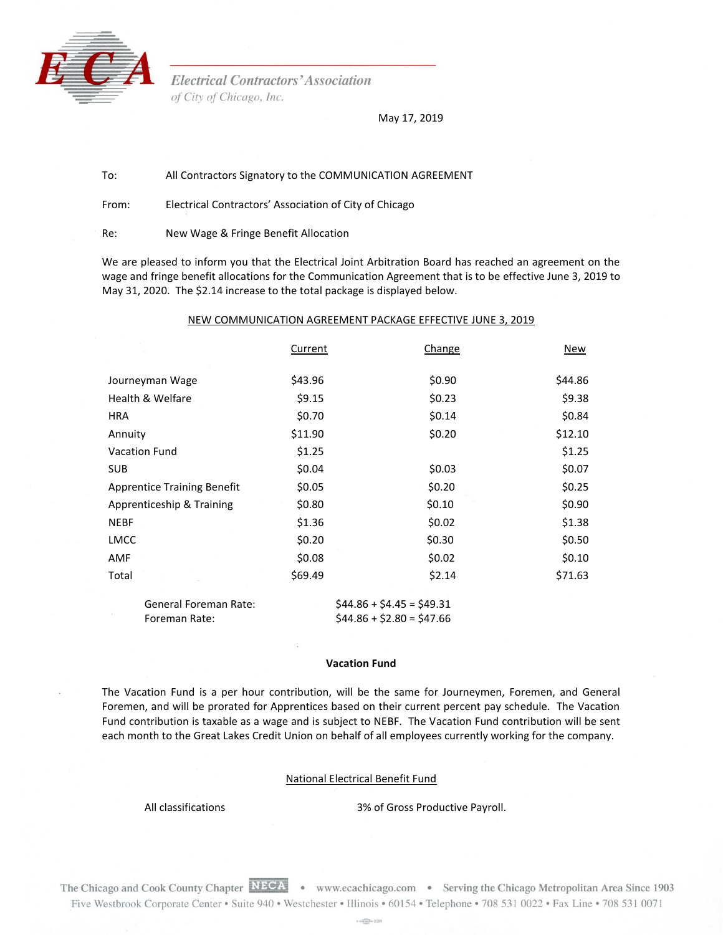

**Electrical Contractors' Association** of City of Chicago, Inc.

May 17, 2019

## To: All Contractors Signatory to the COMMUNICATION AGREEMENT

From: Electrical Contractors' Association of City of Chicago

Re: New Wage & Fringe Benefit Allocation

We are pleased to inform you that the Electrical Joint Arbitration Board has reached an agreement on the wage and fringe benefit allocations for the Communication Agreement that is to be effective June 3, 2019 to May 31, 2020. The \$2.14 increase to the total package is displayed below.

## NEW COMMUNICATION AGREEMENT PACKAGE EFFECTIVE JUNE 3, 2019

|                                    | Current | Change                    | New     |
|------------------------------------|---------|---------------------------|---------|
|                                    |         |                           |         |
| Journeyman Wage                    | \$43.96 | \$0.90                    | \$44.86 |
| Health & Welfare                   | \$9.15  | \$0.23                    | \$9.38  |
| <b>HRA</b>                         | \$0.70  | \$0.14                    | \$0.84  |
| Annuity                            | \$11.90 | \$0.20                    | \$12.10 |
| <b>Vacation Fund</b>               | \$1.25  |                           | \$1.25  |
| <b>SUB</b>                         | \$0.04  | \$0.03                    | \$0.07  |
| <b>Apprentice Training Benefit</b> | \$0.05  | \$0.20                    | \$0.25  |
| Apprenticeship & Training          | \$0.80  | \$0.10                    | \$0.90  |
| <b>NEBF</b>                        | \$1.36  | \$0.02                    | \$1.38  |
| <b>LMCC</b>                        | \$0.20  | \$0.30                    | \$0.50  |
| AMF                                | \$0.08  | \$0.02                    | \$0.10  |
| Total                              | \$69.49 | \$2.14                    | \$71.63 |
| <b>General Foreman Rate:</b>       |         | $$44.86 + $4.45 = $49.31$ |         |

## **Vacation Fund**

Foreman Rate:  $$44.86 + $2.80 = $47.66$ 

The Vacation Fund is a per hour contribution, will be the same for Journeymen, Foremen, and General Foremen, and will be prorated for Apprentices based on their current percent pay schedule. The Vacation Fund contribution is taxable as a wage and is subject to NEBF. The Vacation Fund contribution will be sent each month to the Great Lakes Credit Union on behalf of all employees currently working for the company.

## National Electrical Benefit Fund

All classifications 3% of Gross Productive Payroll.

The Chicago and Cook County Chapter NECA • www.ecachicago.com • Serving the Chicago Metropolitan Area Since 1903 Five Westbrook Corporate Center • Suite 940 • Westchester • Illinois • 60154 • Telephone • 708 531 0022 • Fax Line • 708 531 0071

 $+$  of  $\frac{1}{2}$  of  $228$